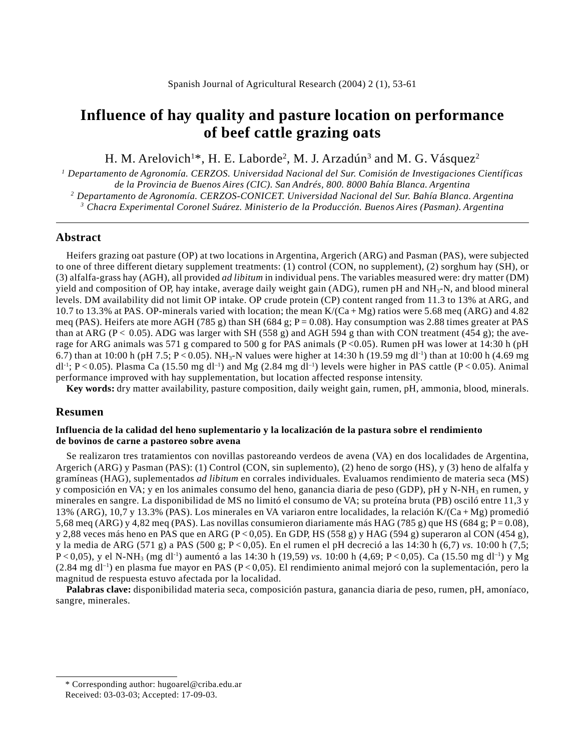# **Influence of hay quality and pasture location on performance of beef cattle grazing oats**

H. M. Arelovich<sup>1\*</sup>, H. E. Laborde<sup>2</sup>, M. J. Arzadún<sup>3</sup> and M. G. Vásquez<sup>2</sup>

 *Departamento de Agronomía. CERZOS. Universidad Nacional del Sur. Comisión de Investigaciones Científicas de la Provincia de Buenos Aires (CIC). San Andrés, 800. 8000 Bahía Blanca. Argentina Departamento de Agronomía. CERZOS-CONICET. Universidad Nacional del Sur. Bahía Blanca. Argentina Chacra Experimental Coronel Suárez. Ministerio de la Producción. Buenos Aires (Pasman). Argentina*

### **Abstract**

Heifers grazing oat pasture (OP) at two locations in Argentina, Argerich (ARG) and Pasman (PAS), were subjected to one of three different dietary supplement treatments: (1) control (CON, no supplement), (2) sorghum hay (SH), or (3) alfalfa-grass hay (AGH), all provided *ad libitum* in individual pens. The variables measured were: dry matter (DM) yield and composition of OP, hay intake, average daily weight gain (ADG), rumen pH and NH<sub>3</sub>-N, and blood mineral levels. DM availability did not limit OP intake. OP crude protein (CP) content ranged from 11.3 to 13% at ARG, and 10.7 to 13.3% at PAS. OP-minerals varied with location; the mean  $K/(Ca+Mg)$  ratios were 5.68 meq (ARG) and 4.82 meq (PAS). Heifers ate more AGH (785 g) than SH (684 g;  $P = 0.08$ ). Hay consumption was 2.88 times greater at PAS than at ARG (P < 0.05). ADG was larger with SH (558 g) and AGH 594 g than with CON treatment (454 g); the average for ARG animals was 571 g compared to 500 g for PAS animals (P < 0.05). Rumen pH was lower at 14:30 h (pH 6.7) than at 10:00 h (pH 7.5; P < 0.05). NH<sub>3</sub>-N values were higher at 14:30 h (19.59 mg dl<sup>-1</sup>) than at 10:00 h (4.69 mg dl<sup>-1</sup>; P < 0.05). Plasma Ca (15.50 mg dl<sup>-1</sup>) and Mg (2.84 mg dl<sup>-1</sup>) levels were higher in PAS cattle (P < 0.05). Animal performance improved with hay supplementation, but location affected response intensity.

**Key words:** dry matter availability, pasture composition, daily weight gain, rumen, pH, ammonia, blood, minerals.

#### **Resumen**

#### **Influencia de la calidad del heno suplementario y la localización de la pastura sobre el rendimiento de bovinos de carne a pastoreo sobre avena**

Se realizaron tres tratamientos con novillas pastoreando verdeos de avena (VA) en dos localidades de Argentina, Argerich (ARG) y Pasman (PAS): (1) Control (CON, sin suplemento), (2) heno de sorgo (HS), y (3) heno de alfalfa y gramíneas (HAG), suplementados *ad libitum* en corrales individuales*.* Evaluamos rendimiento de materia seca (MS) y composición en VA; y en los animales consumo del heno, ganancia diaria de peso (GDP), pH y N-NH<sub>3</sub> en rumen, y minerales en sangre. La disponibilidad de MS no limitó el consumo de VA; su proteína bruta (PB) osciló entre 11,3 y 13% (ARG), 10,7 y 13.3% (PAS). Los minerales en VA variaron entre localidades, la relación K/(Ca + Mg) promedió 5,68 meq (ARG) y 4,82 meq (PAS). Las novillas consumieron diariamente más HAG (785 g) que HS (684 g; P = 0.08), y 2,88 veces más heno en PAS que en ARG (P < 0,05). En GDP, HS (558 g) y HAG (594 g) superaron al CON (454 g), y la media de ARG (571 g) a PAS (500 g; P < 0,05). En el rumen el pH decreció a las 14:30 h (6,7) *vs.* 10:00 h (7,5; P < 0,05), y el N-NH<sub>3</sub> (mg dl<sup>-1</sup>) aumentó a las 14:30 h (19,59) *vs.* 10:00 h (4,69; P < 0,05). Ca (15.50 mg dl<sup>-1</sup>) y Mg  $(2.84 \text{ mg d}^{-1})$  en plasma fue mayor en PAS (P < 0,05). El rendimiento animal mejoró con la suplementación, pero la magnitud de respuesta estuvo afectada por la localidad.

**Palabras clave:** disponibilidad materia seca, composición pastura, ganancia diaria de peso, rumen, pH, amoníaco, sangre, minerales.

<sup>\*</sup> Corresponding author: hugoarel@criba.edu.ar Received: 03-03-03; Accepted: 17-09-03.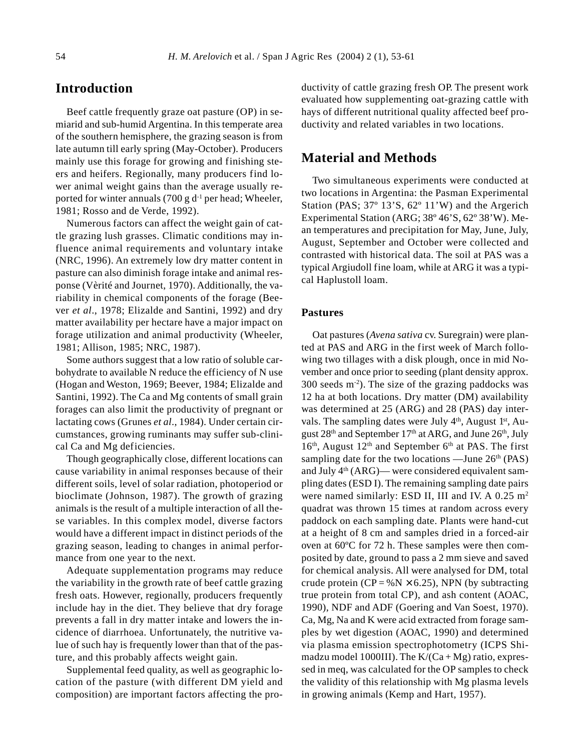# **Introduction**

Beef cattle frequently graze oat pasture (OP) in semiarid and sub-humid Argentina. In this temperate area of the southern hemisphere, the grazing season is from late autumn till early spring (May-October). Producers mainly use this forage for growing and finishing steers and heifers. Regionally, many producers find lower animal weight gains than the average usually reported for winter annuals (700 g  $d^{-1}$  per head; Wheeler, 1981; Rosso and de Verde, 1992).

Numerous factors can affect the weight gain of cattle grazing lush grasses. Climatic conditions may influence animal requirements and voluntary intake (NRC, 1996). An extremely low dry matter content in pasture can also diminish forage intake and animal response (Vèrité and Journet, 1970). Additionally, the variability in chemical components of the forage (Beever *et al*., 1978; Elizalde and Santini, 1992) and dry matter availability per hectare have a major impact on forage utilization and animal productivity (Wheeler, 1981; Allison, 1985; NRC, 1987).

Some authors suggest that a low ratio of soluble carbohydrate to available N reduce the efficiency of N use (Hogan and Weston, 1969; Beever, 1984; Elizalde and Santini, 1992). The Ca and Mg contents of small grain forages can also limit the productivity of pregnant or lactating cows (Grunes *et al*., 1984). Under certain circumstances, growing ruminants may suffer sub-clinical Ca and Mg deficiencies.

Though geographically close, different locations can cause variability in animal responses because of their different soils, level of solar radiation, photoperiod or bioclimate (Johnson, 1987). The growth of grazing animals is the result of a multiple interaction of all these variables. In this complex model, diverse factors would have a different impact in distinct periods of the grazing season, leading to changes in animal performance from one year to the next.

Adequate supplementation programs may reduce the variability in the growth rate of beef cattle grazing fresh oats. However, regionally, producers frequently include hay in the diet. They believe that dry forage prevents a fall in dry matter intake and lowers the incidence of diarrhoea. Unfortunately, the nutritive value of such hay is frequently lower than that of the pasture, and this probably affects weight gain.

Supplemental feed quality, as well as geographic location of the pasture (with different DM yield and composition) are important factors affecting the productivity of cattle grazing fresh OP. The present work evaluated how supplementing oat-grazing cattle with hays of different nutritional quality affected beef productivity and related variables in two locations.

# **Material and Methods**

Two simultaneous experiments were conducted at two locations in Argentina: the Pasman Experimental Station (PAS; 37º 13'S, 62º 11'W) and the Argerich Experimental Station (ARG; 38º 46'S, 62º 38'W). Mean temperatures and precipitation for May, June, July, August, September and October were collected and contrasted with historical data. The soil at PAS was a typical Argiudoll fine loam, while at ARG it was a typical Haplustoll loam.

### **Pastures**

Oat pastures (*Avena sativa* cv. Suregrain) were planted at PAS and ARG in the first week of March following two tillages with a disk plough, once in mid November and once prior to seeding (plant density approx.  $300$  seeds m<sup>-2</sup>). The size of the grazing paddocks was 12 ha at both locations. Dry matter (DM) availability was determined at 25 (ARG) and 28 (PAS) day intervals. The sampling dates were July  $4<sup>th</sup>$ , August  $1<sup>st</sup>$ , August 28<sup>th</sup> and September 17<sup>th</sup> at ARG, and June 26<sup>th</sup>, July  $16<sup>th</sup>$ , August  $12<sup>th</sup>$  and September 6<sup>th</sup> at PAS. The first sampling date for the two locations —June  $26<sup>th</sup>$  (PAS) and July  $4<sup>th</sup> (ARG)$ — were considered equivalent sampling dates (ESD I). The remaining sampling date pairs were named similarly: ESD II, III and IV. A 0.25 m<sup>2</sup> quadrat was thrown 15 times at random across every paddock on each sampling date. Plants were hand-cut at a height of 8 cm and samples dried in a forced-air oven at 60ºC for 72 h. These samples were then composited by date, ground to pass a 2 mm sieve and saved for chemical analysis. All were analysed for DM, total crude protein ( $CP = \% N \times 6.25$ ), NPN (by subtracting true protein from total CP), and ash content (AOAC, 1990), NDF and ADF (Goering and Van Soest, 1970). Ca, Mg, Na and K were acid extracted from forage samples by wet digestion (AOAC, 1990) and determined via plasma emission spectrophotometry (ICPS Shimadzu model 1000III). The  $K/(Ca+Mg)$  ratio, expressed in meq, was calculated for the OP samples to check the validity of this relationship with Mg plasma levels in growing animals (Kemp and Hart, 1957).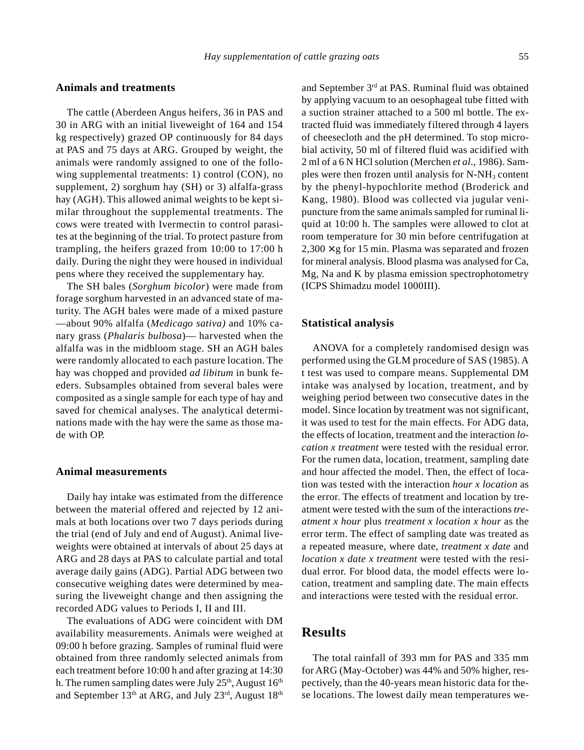### **Animals and treatments**

The cattle (Aberdeen Angus heifers, 36 in PAS and 30 in ARG with an initial liveweight of 164 and 154 kg respectively) grazed OP continuously for 84 days at PAS and 75 days at ARG. Grouped by weight, the animals were randomly assigned to one of the following supplemental treatments: 1) control (CON), no supplement, 2) sorghum hay (SH) or 3) alfalfa-grass hay (AGH). This allowed animal weights to be kept similar throughout the supplemental treatments. The cows were treated with Ivermectin to control parasites at the beginning of the trial. To protect pasture from trampling, the heifers grazed from 10:00 to 17:00 h daily. During the night they were housed in individual pens where they received the supplementary hay.

The SH bales (*Sorghum bicolor*) were made from forage sorghum harvested in an advanced state of maturity. The AGH bales were made of a mixed pasture —about 90% alfalfa (*Medicago sativa)* and 10% canary grass (*Phalaris bulbosa*)— harvested when the alfalfa was in the midbloom stage. SH an AGH bales were randomly allocated to each pasture location. The hay was chopped and provided *ad libitum* in bunk feeders. Subsamples obtained from several bales were composited as a single sample for each type of hay and saved for chemical analyses. The analytical determinations made with the hay were the same as those made with OP.

#### **Animal measurements**

Daily hay intake was estimated from the difference between the material offered and rejected by 12 animals at both locations over two 7 days periods during the trial (end of July and end of August). Animal liveweights were obtained at intervals of about 25 days at ARG and 28 days at PAS to calculate partial and total average daily gains (ADG). Partial ADG between two consecutive weighing dates were determined by measuring the liveweight change and then assigning the recorded ADG values to Periods I, II and III.

The evaluations of ADG were coincident with DM availability measurements. Animals were weighed at 09:00 h before grazing. Samples of ruminal fluid were obtained from three randomly selected animals from each treatment before 10:00 h and after grazing at 14:30 h. The rumen sampling dates were July  $25<sup>th</sup>$ , August  $16<sup>th</sup>$ and September 13<sup>th</sup> at ARG, and July 23<sup>rd</sup>, August 18<sup>th</sup>

and September 3rd at PAS. Ruminal fluid was obtained by applying vacuum to an oesophageal tube fitted with a suction strainer attached to a 500 ml bottle. The extracted fluid was immediately filtered through 4 layers of cheesecloth and the pH determined. To stop microbial activity, 50 ml of filtered fluid was acidified with 2 ml of a 6 N HCl solution (Merchen *et al*., 1986). Samples were then frozen until analysis for  $N-NH_3$  content by the phenyl-hypochlorite method (Broderick and Kang, 1980). Blood was collected via jugular venipuncture from the same animals sampled for ruminal liquid at 10:00 h. The samples were allowed to clot at room temperature for 30 min before centrifugation at  $2,300 \times g$  for 15 min. Plasma was separated and frozen for mineral analysis. Blood plasma was analysed for Ca, Mg, Na and K by plasma emission spectrophotometry (ICPS Shimadzu model 1000III).

### **Statistical analysis**

ANOVA for a completely randomised design was performed using the GLM procedure of SAS (1985). A t test was used to compare means. Supplemental DM intake was analysed by location, treatment, and by weighing period between two consecutive dates in the model. Since location by treatment was not significant, it was used to test for the main effects. For ADG data, the effects of location, treatment and the interaction *location x treatment* were tested with the residual error. For the rumen data, location, treatment, sampling date and hour affected the model. Then, the effect of location was tested with the interaction *hour x location* as the error. The effects of treatment and location by treatment were tested with the sum of the interactions *treatment x hour* plus *treatment x location x hour* as the error term. The effect of sampling date was treated as a repeated measure, where date, *treatment x date* and *location x date x treatment* were tested with the residual error. For blood data, the model effects were location, treatment and sampling date. The main effects and interactions were tested with the residual error.

# **Results**

The total rainfall of 393 mm for PAS and 335 mm for ARG (May-October) was 44% and 50% higher, respectively, than the 40-years mean historic data for these locations. The lowest daily mean temperatures we-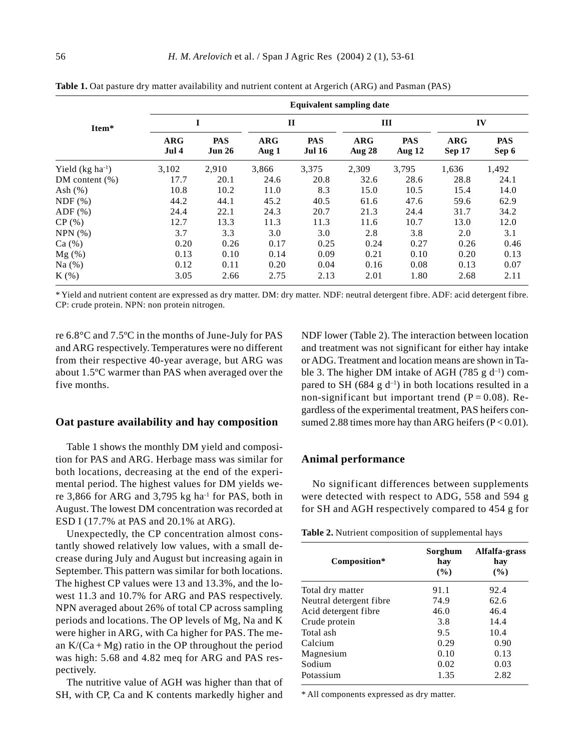|                      | <b>Equivalent sampling date</b> |                             |                     |                             |                      |                      |                      |                     |  |  |
|----------------------|---------------------------------|-----------------------------|---------------------|-----------------------------|----------------------|----------------------|----------------------|---------------------|--|--|
| Item*                | I                               |                             | $\mathbf{H}$        |                             | III                  |                      | IV                   |                     |  |  |
|                      | $\bf{ARG}$<br>Jul 4             | <b>PAS</b><br><b>Jun 26</b> | $\bf{ARG}$<br>Aug 1 | <b>PAS</b><br><b>Jul 16</b> | $\bf{ARG}$<br>Aug 28 | <b>PAS</b><br>Aug 12 | <b>ARG</b><br>Sep 17 | <b>PAS</b><br>Sep 6 |  |  |
| Yield $(kg ha^{-1})$ | 3,102                           | 2,910                       | 3,866               | 3,375                       | 2,309                | 3,795                | 1,636                | 1,492               |  |  |
| $DM content (\%)$    | 17.7                            | 20.1                        | 24.6                | 20.8                        | 32.6                 | 28.6                 | 28.8                 | 24.1                |  |  |
| Ash $(\%)$           | 10.8                            | 10.2                        | 11.0                | 8.3                         | 15.0                 | 10.5                 | 15.4                 | 14.0                |  |  |
| NDF(%)               | 44.2                            | 44.1                        | 45.2                | 40.5                        | 61.6                 | 47.6                 | 59.6                 | 62.9                |  |  |
| $ADF$ $(\%)$         | 24.4                            | 22.1                        | 24.3                | 20.7                        | 21.3                 | 24.4                 | 31.7                 | 34.2                |  |  |
| CP(%)                | 12.7                            | 13.3                        | 11.3                | 11.3                        | 11.6                 | 10.7                 | 13.0                 | 12.0                |  |  |
| NPN(%)               | 3.7                             | 3.3                         | 3.0                 | 3.0                         | 2.8                  | 3.8                  | 2.0                  | 3.1                 |  |  |
| Ca(%)                | 0.20                            | 0.26                        | 0.17                | 0.25                        | 0.24                 | 0.27                 | 0.26                 | 0.46                |  |  |
| $Mg(\%)$             | 0.13                            | 0.10                        | 0.14                | 0.09                        | 0.21                 | 0.10                 | 0.20                 | 0.13                |  |  |
| Na $(%)$             | 0.12                            | 0.11                        | 0.20                | 0.04                        | 0.16                 | 0.08                 | 0.13                 | 0.07                |  |  |
| $K$ (%)              | 3.05                            | 2.66                        | 2.75                | 2.13                        | 2.01                 | 1.80                 | 2.68                 | 2.11                |  |  |

**Table 1.** Oat pasture dry matter availability and nutrient content at Argerich (ARG) and Pasman (PAS)

\* Yield and nutrient content are expressed as dry matter. DM: dry matter. NDF: neutral detergent fibre. ADF: acid detergent fibre. CP: crude protein. NPN: non protein nitrogen.

re 6.8°C and 7.5ºC in the months of June-July for PAS and ARG respectively. Temperatures were no different from their respective 40-year average, but ARG was about 1.5ºC warmer than PAS when averaged over the five months.

#### **Oat pasture availability and hay composition**

Table 1 shows the monthly DM yield and composition for PAS and ARG. Herbage mass was similar for both locations, decreasing at the end of the experimental period. The highest values for DM yields were 3,866 for ARG and 3,795 kg ha $^{-1}$  for PAS, both in August. The lowest DM concentration was recorded at ESD I (17.7% at PAS and 20.1% at ARG).

Unexpectedly, the CP concentration almost constantly showed relatively low values, with a small decrease during July and August but increasing again in September. This pattern was similar for both locations. The highest CP values were 13 and 13.3%, and the lowest 11.3 and 10.7% for ARG and PAS respectively. NPN averaged about 26% of total CP across sampling periods and locations. The OP levels of Mg, Na and K were higher in ARG, with Ca higher for PAS. The mean  $K/(Ca+Mg)$  ratio in the OP throughout the period was high: 5.68 and 4.82 meq for ARG and PAS respectively.

The nutritive value of AGH was higher than that of SH, with CP, Ca and K contents markedly higher and NDF lower (Table 2). The interaction between location and treatment was not significant for either hay intake or ADG. Treatment and location means are shown in Table 3. The higher DM intake of AGH (785 g  $d^{-1}$ ) compared to SH (684 g  $d^{-1}$ ) in both locations resulted in a non-significant but important trend  $(P = 0.08)$ . Regardless of the experimental treatment, PAS heifers consumed 2.88 times more hay than ARG heifers  $(P < 0.01)$ .

### **Animal performance**

No significant differences between supplements were detected with respect to ADG, 558 and 594 g for SH and AGH respectively compared to 454 g for

| Table 2. Nutrient composition of supplemental hays |  |  |  |
|----------------------------------------------------|--|--|--|
|----------------------------------------------------|--|--|--|

| Composition*            | Sorghum<br>hay<br>$($ %) | Alfalfa-grass<br>hay<br>$($ %) |  |  |
|-------------------------|--------------------------|--------------------------------|--|--|
| Total dry matter        | 91.1                     | 92.4                           |  |  |
| Neutral detergent fibre | 74.9                     | 62.6                           |  |  |
| Acid detergent fibre    | 46.0                     | 46.4                           |  |  |
| Crude protein           | 3.8                      | 14.4                           |  |  |
| Total ash               | 9.5                      | 10.4                           |  |  |
| Calcium                 | 0.29                     | 0.90                           |  |  |
| Magnesium               | 0.10                     | 0.13                           |  |  |
| Sodium                  | 0.02                     | 0.03                           |  |  |
| Potassium               | 1.35                     | 2.82                           |  |  |

\* All components expressed as dry matter.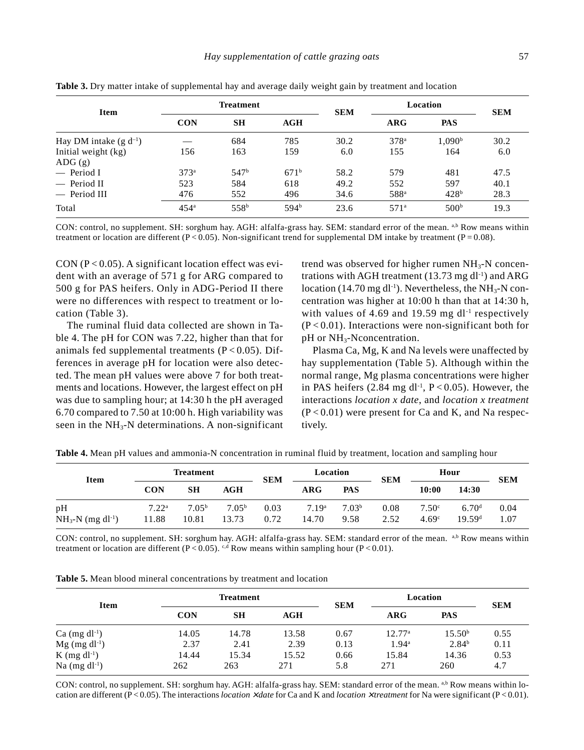| <b>Item</b>                   |                                | <b>Treatment</b> |                  | <b>SEM</b> | Location         |                    | <b>SEM</b> |  |
|-------------------------------|--------------------------------|------------------|------------------|------------|------------------|--------------------|------------|--|
|                               | <b>CON</b><br><b>SH</b><br>AGH |                  |                  |            | $\bf{ARG}$       | <b>PAS</b>         |            |  |
| Hay DM intake $(g d^{-1})$    |                                | 684              | 785              | 30.2       | 378 <sup>a</sup> | 1,090 <sup>b</sup> | 30.2       |  |
| Initial weight (kg)<br>ADG(g) | 156                            | 163              | 159              | 6.0        | 155              | 164                | 6.0        |  |
| $-$ Period I                  | $373^a$                        | 547 <sup>b</sup> | $671^{\rm b}$    | 58.2       | 579              | 481                | 47.5       |  |
| $-$ Period II                 | 523                            | 584              | 618              | 49.2       | 552              | 597                | 40.1       |  |
| - Period III                  | 476                            | 552              | 496              | 34.6       | 588 <sup>a</sup> | 428 <sup>b</sup>   | 28.3       |  |
| Total                         | 454 <sup>a</sup>               | 558 <sup>b</sup> | 594 <sup>b</sup> | 23.6       | 571 <sup>a</sup> | 500 <sup>b</sup>   | 19.3       |  |

**Table 3.** Dry matter intake of supplemental hay and average daily weight gain by treatment and location

CON: control, no supplement. SH: sorghum hay. AGH: alfalfa-grass hay. SEM: standard error of the mean. a,b Row means within treatment or location are different (P < 0.05). Non-significant trend for supplemental DM intake by treatment (P = 0.08).

CON ( $P < 0.05$ ). A significant location effect was evident with an average of 571 g for ARG compared to 500 g for PAS heifers. Only in ADG-Period II there were no differences with respect to treatment or location (Table 3).

The ruminal fluid data collected are shown in Table 4. The pH for CON was 7.22, higher than that for animals fed supplemental treatments  $(P < 0.05)$ . Differences in average pH for location were also detected. The mean pH values were above 7 for both treatments and locations. However, the largest effect on pH was due to sampling hour; at 14:30 h the pH averaged 6.70 compared to 7.50 at 10:00 h. High variability was seen in the  $NH<sub>3</sub>-N$  determinations. A non-significant

trend was observed for higher rumen  $NH<sub>3</sub>-N$  concentrations with AGH treatment  $(13.73 \text{ mg d}^{-1})$  and ARG location (14.70 mg dl<sup>-1</sup>). Nevertheless, the  $NH<sub>3</sub>-N$  concentration was higher at 10:00 h than that at 14:30 h, with values of 4.69 and 19.59 mg  $dl^{-1}$  respectively  $(P<0.01)$ . Interactions were non-significant both for pH or NH<sub>3</sub>-Nconcentration.

Plasma Ca, Mg, K and Na levels were unaffected by hay supplementation (Table 5). Although within the normal range, Mg plasma concentrations were higher in PAS heifers  $(2.84 \text{ mg d}^{-1}, P < 0.05)$ . However, the interactions *location x date*, and *location x treatment*  $(P<0.01)$  were present for Ca and K, and Na respectively.

| <b>Item</b>                           | <b>Treatment</b>           |                            |                            | <b>SEM</b>   | Location                   |                           | <b>SEM</b>   | Hour                                   |                                         | <b>SEM</b>   |
|---------------------------------------|----------------------------|----------------------------|----------------------------|--------------|----------------------------|---------------------------|--------------|----------------------------------------|-----------------------------------------|--------------|
|                                       | <b>CON</b>                 | <b>SH</b>                  | AGH                        |              | ARG                        | PAS                       |              | 10:00                                  | 14:30                                   |              |
| pH<br>$NH_3-N$ (mg dl <sup>-1</sup> ) | 7.22 <sup>a</sup><br>11.88 | 7.05 <sup>b</sup><br>10.81 | 7.05 <sup>b</sup><br>13.73 | 0.03<br>0.72 | 7.19 <sup>a</sup><br>14.70 | 7.03 <sup>b</sup><br>9.58 | 0.08<br>2.52 | 7.50 <sup>c</sup><br>4.69 <sup>c</sup> | 6.70 <sup>d</sup><br>19.59 <sup>d</sup> | 0.04<br>1.07 |

**Table 4.** Mean pH values and ammonia-N concentration in ruminal fluid by treatment, location and sampling hour

CON: control, no supplement. SH: sorghum hay. AGH: alfalfa-grass hay. SEM: standard error of the mean. a,b Row means within treatment or location are different (P < 0.05). <sup>c,d</sup> Row means within sampling hour (P < 0.01).

| <b>Item</b>                 |            | <b>Treatment</b> |       | <b>SEM</b> | Location        |                    | <b>SEM</b> |
|-----------------------------|------------|------------------|-------|------------|-----------------|--------------------|------------|
|                             | <b>CON</b> | SН               | AGH   |            | ARG             | <b>PAS</b>         |            |
| $Ca \text{ (mg d}l^{-1})$   | 14.05      | 14.78            | 13.58 | 0.67       | $12.77^{\rm a}$ | 15.50 <sup>b</sup> | 0.55       |
| $Mg$ (mg dl <sup>-1</sup> ) | 2.37       | 2.41             | 2.39  | 0.13       | $1.94^{\circ}$  | 2.84 <sup>b</sup>  | 0.11       |
| $K$ (mg dl <sup>-1</sup> )  | 14.44      | 15.34            | 15.52 | 0.66       | 15.84           | 14.36              | 0.53       |
| Na $(mg\, dl^{-1})$         | 262        | 263              | 271   | 5.8        | 271             | 260                | 4.7        |

CON: control, no supplement. SH: sorghum hay. AGH: alfalfa-grass hay. SEM: standard error of the mean. a,b Row means within location are different (P < 0.05). The interactions *location* <sup>×</sup> *date* for Ca and K and *location* <sup>×</sup> *treatment* for Na were significant (P < 0.01).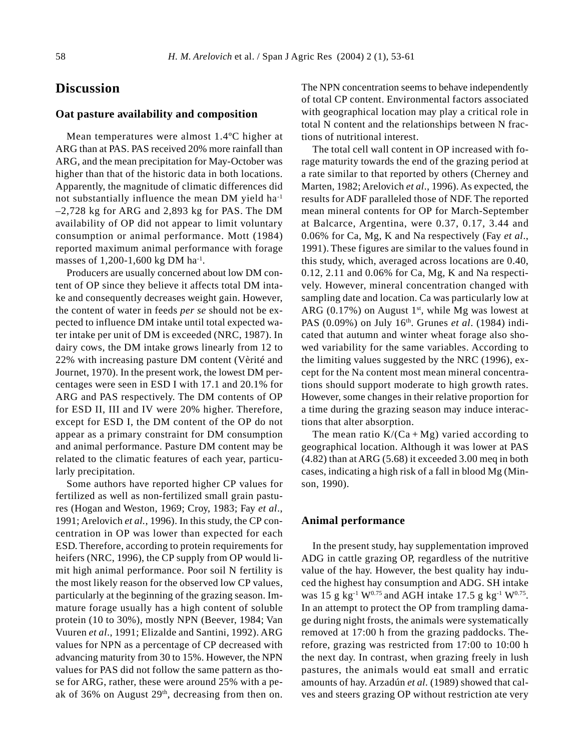# **Discussion**

#### **Oat pasture availability and composition**

Mean temperatures were almost 1.4ºC higher at ARG than at PAS. PAS received 20% more rainfall than ARG, and the mean precipitation for May-October was higher than that of the historic data in both locations. Apparently, the magnitude of climatic differences did not substantially influence the mean DM yield ha-1 –2,728 kg for ARG and 2,893 kg for PAS. The DM availability of OP did not appear to limit voluntary consumption or animal performance. Mott (1984) reported maximum animal performance with forage masses of 1,200-1,600 kg DM ha<sup>-1</sup>.

Producers are usually concerned about low DM content of OP since they believe it affects total DM intake and consequently decreases weight gain. However, the content of water in feeds *per se* should not be expected to influence DM intake until total expected water intake per unit of DM is exceeded (NRC, 1987). In dairy cows, the DM intake grows linearly from 12 to 22% with increasing pasture DM content (Vèrité and Journet, 1970). In the present work, the lowest DM percentages were seen in ESD I with 17.1 and 20.1% for ARG and PAS respectively. The DM contents of OP for ESD II, III and IV were 20% higher. Therefore, except for ESD I, the DM content of the OP do not appear as a primary constraint for DM consumption and animal performance. Pasture DM content may be related to the climatic features of each year, particularly precipitation.

Some authors have reported higher CP values for fertilized as well as non-fertilized small grain pastures (Hogan and Weston, 1969; Croy, 1983; Fay *et al*., 1991; Arelovich *et al.*, 1996). In this study, the CP concentration in OP was lower than expected for each ESD. Therefore, according to protein requirements for heifers (NRC, 1996), the CP supply from OP would limit high animal performance. Poor soil N fertility is the most likely reason for the observed low CP values, particularly at the beginning of the grazing season. Immature forage usually has a high content of soluble protein (10 to 30%), mostly NPN (Beever, 1984; Van Vuuren *et al*., 1991; Elizalde and Santini, 1992). ARG values for NPN as a percentage of CP decreased with advancing maturity from 30 to 15%. However, the NPN values for PAS did not follow the same pattern as those for ARG, rather, these were around 25% with a peak of 36% on August 29<sup>th</sup>, decreasing from then on.

The NPN concentration seems to behave independently of total CP content. Environmental factors associated with geographical location may play a critical role in total N content and the relationships between N fractions of nutritional interest.

The total cell wall content in OP increased with forage maturity towards the end of the grazing period at a rate similar to that reported by others (Cherney and Marten, 1982; Arelovich *et al*., 1996). As expected, the results for ADF paralleled those of NDF. The reported mean mineral contents for OP for March-September at Balcarce, Argentina, were 0.37, 0.17, 3.44 and 0.06% for Ca, Mg, K and Na respectively (Fay *et al*., 1991). These figures are similar to the values found in this study, which, averaged across locations are 0.40, 0.12, 2.11 and 0.06% for Ca, Mg, K and Na respectively. However, mineral concentration changed with sampling date and location. Ca was particularly low at ARG (0.17%) on August  $1<sup>st</sup>$ , while Mg was lowest at PAS (0.09%) on July 16th. Grunes *et al*. (1984) indicated that autumn and winter wheat forage also showed variability for the same variables. According to the limiting values suggested by the NRC (1996), except for the Na content most mean mineral concentrations should support moderate to high growth rates. However, some changes in their relative proportion for a time during the grazing season may induce interactions that alter absorption.

The mean ratio  $K/(Ca+Mg)$  varied according to geographical location. Although it was lower at PAS (4.82) than at ARG (5.68) it exceeded 3.00 meq in both cases, indicating a high risk of a fall in blood Mg (Minson, 1990).

### **Animal performance**

In the present study, hay supplementation improved ADG in cattle grazing OP, regardless of the nutritive value of the hay. However, the best quality hay induced the highest hay consumption and ADG. SH intake was 15 g kg<sup>-1</sup> W<sup>0.75</sup> and AGH intake 17.5 g kg<sup>-1</sup> W<sup>0.75</sup>. In an attempt to protect the OP from trampling damage during night frosts, the animals were systematically removed at 17:00 h from the grazing paddocks. Therefore, grazing was restricted from 17:00 to 10:00 h the next day. In contrast, when grazing freely in lush pastures, the animals would eat small and erratic amounts of hay. Arzadún *et al.* (1989) showed that calves and steers grazing OP without restriction ate very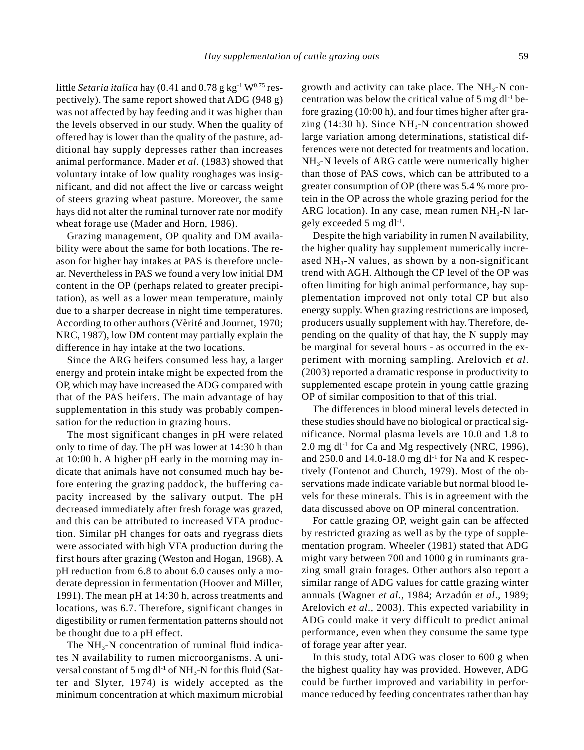little *Setaria italica* hay (0.41 and 0.78 g kg<sup>-1</sup> W<sup>0.75</sup> respectively). The same report showed that ADG (948 g) was not affected by hay feeding and it was higher than the levels observed in our study. When the quality of offered hay is lower than the quality of the pasture, additional hay supply depresses rather than increases animal performance. Mader *et al*. (1983) showed that voluntary intake of low quality roughages was insignificant, and did not affect the live or carcass weight of steers grazing wheat pasture. Moreover, the same hays did not alter the ruminal turnover rate nor modify wheat forage use (Mader and Horn, 1986).

Grazing management, OP quality and DM availability were about the same for both locations. The reason for higher hay intakes at PAS is therefore unclear. Nevertheless in PAS we found a very low initial DM content in the OP (perhaps related to greater precipitation), as well as a lower mean temperature, mainly due to a sharper decrease in night time temperatures. According to other authors (Vèrité and Journet, 1970; NRC, 1987), low DM content may partially explain the difference in hay intake at the two locations.

Since the ARG heifers consumed less hay, a larger energy and protein intake might be expected from the OP, which may have increased the ADG compared with that of the PAS heifers. The main advantage of hay supplementation in this study was probably compensation for the reduction in grazing hours.

The most significant changes in pH were related only to time of day. The pH was lower at 14:30 h than at 10:00 h. A higher pH early in the morning may indicate that animals have not consumed much hay before entering the grazing paddock, the buffering capacity increased by the salivary output. The pH decreased immediately after fresh forage was grazed, and this can be attributed to increased VFA production. Similar pH changes for oats and ryegrass diets were associated with high VFA production during the first hours after grazing (Weston and Hogan, 1968). A pH reduction from 6.8 to about 6.0 causes only a moderate depression in fermentation (Hoover and Miller, 1991). The mean pH at 14:30 h, across treatments and locations, was 6.7. Therefore, significant changes in digestibility or rumen fermentation patterns should not be thought due to a pH effect.

The  $NH_3-N$  concentration of ruminal fluid indicates N availability to rumen microorganisms. A universal constant of 5 mg dl<sup>-1</sup> of  $NH_3$ -N for this fluid (Satter and Slyter, 1974) is widely accepted as the minimum concentration at which maximum microbial growth and activity can take place. The  $NH<sub>3</sub>-N$  concentration was below the critical value of  $5 \text{ mg} \, \text{d}l^{-1}$  before grazing (10:00 h), and four times higher after grazing (14:30 h). Since  $NH<sub>3</sub>-N$  concentration showed large variation among determinations, statistical differences were not detected for treatments and location.  $NH<sub>3</sub>$ -N levels of ARG cattle were numerically higher than those of PAS cows, which can be attributed to a greater consumption of OP (there was 5.4 % more protein in the OP across the whole grazing period for the ARG location). In any case, mean rumen  $NH<sub>3</sub>-N$  largely exceeded 5 mg dl<sup>-1</sup>.

Despite the high variability in rumen N availability, the higher quality hay supplement numerically increased  $NH<sub>3</sub>-N$  values, as shown by a non-significant trend with AGH. Although the CP level of the OP was often limiting for high animal performance, hay supplementation improved not only total CP but also energy supply. When grazing restrictions are imposed, producers usually supplement with hay. Therefore, depending on the quality of that hay, the N supply may be marginal for several hours - as occurred in the experiment with morning sampling. Arelovich *et al*. (2003) reported a dramatic response in productivity to supplemented escape protein in young cattle grazing OP of similar composition to that of this trial.

The differences in blood mineral levels detected in these studies should have no biological or practical significance. Normal plasma levels are 10.0 and 1.8 to 2.0 mg dl<sup>-1</sup> for Ca and Mg respectively (NRC, 1996), and  $250.0$  and  $14.0-18.0$  mg dl<sup>-1</sup> for Na and K respectively (Fontenot and Church, 1979). Most of the observations made indicate variable but normal blood levels for these minerals. This is in agreement with the data discussed above on OP mineral concentration.

For cattle grazing OP, weight gain can be affected by restricted grazing as well as by the type of supplementation program. Wheeler (1981) stated that ADG might vary between 700 and 1000 g in ruminants grazing small grain forages. Other authors also report a similar range of ADG values for cattle grazing winter annuals (Wagner *et al*., 1984; Arzadún *et al*., 1989; Arelovich *et al*., 2003). This expected variability in ADG could make it very difficult to predict animal performance, even when they consume the same type of forage year after year.

In this study, total ADG was closer to 600 g when the highest quality hay was provided. However, ADG could be further improved and variability in performance reduced by feeding concentrates rather than hay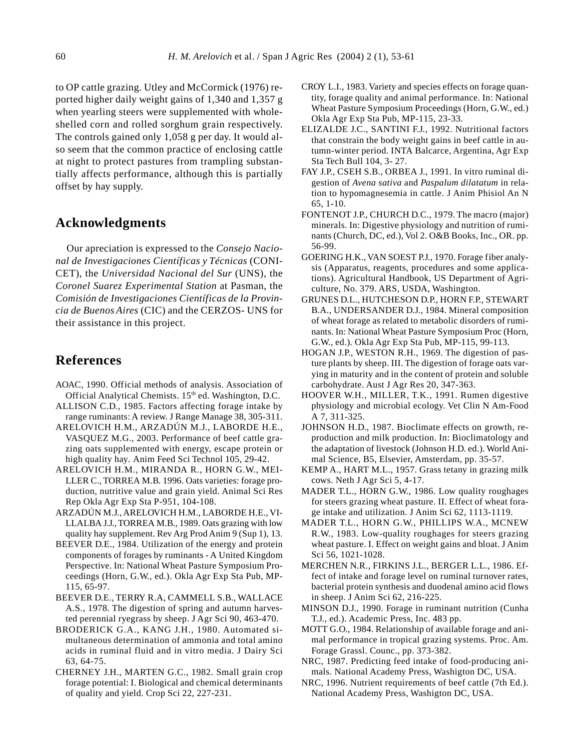to OP cattle grazing. Utley and McCormick (1976) reported higher daily weight gains of 1,340 and 1,357 g when yearling steers were supplemented with wholeshelled corn and rolled sorghum grain respectively. The controls gained only 1,058 g per day. It would also seem that the common practice of enclosing cattle at night to protect pastures from trampling substantially affects performance, although this is partially offset by hay supply.

## **Acknowledgments**

Our apreciation is expressed to the *Consejo Nacional de Investigaciones Científicas y Técnicas* (CONI-CET), the *Universidad Nacional del Sur* (UNS), the *Coronel Suarez Experimental Station* at Pasman, the *Comisión de Investigaciones Científicas de la Provincia de Buenos Aires* (CIC) and the CERZOS- UNS for their assistance in this project.

## **References**

- AOAC, 1990. Official methods of analysis. Association of Official Analytical Chemists. 15<sup>th</sup> ed. Washington, D.C.
- ALLISON C.D., 1985. Factors affecting forage intake by range ruminants: A review. J Range Manage 38, 305-311.
- ARELOVICH H.M., ARZADÚN M.J., LABORDE H.E., VASQUEZ M.G., 2003. Performance of beef cattle grazing oats supplemented with energy, escape protein or high quality hay*.* Anim Feed Sci Technol 105, 29-42.
- ARELOVICH H.M., MIRANDA R., HORN G.W., MEI-LLER C., TORREA M.B. 1996. Oats varieties: forage production, nutritive value and grain yield. Animal Sci Res Rep Okla Agr Exp Sta P-951, 104-108.
- ARZADÚN M.J., ARELOVICH H.M., LABORDE H.E., VI-LLALBA J.J., TORREA M.B., 1989. Oats grazing with low quality hay supplement. Rev Arg Prod Anim 9 (Sup 1), 13.
- BEEVER D.E., 1984. Utilization of the energy and protein components of forages by ruminants - A United Kingdom Perspective. In: National Wheat Pasture Symposium Proceedings (Horn, G.W., ed.). Okla Agr Exp Sta Pub, MP-115, 65-97.
- BEEVER D.E., TERRY R.A, CAMMELL S.B., WALLACE A.S., 1978. The digestion of spring and autumn harvested perennial ryegrass by sheep. J Agr Sci 90, 463-470.
- BRODERICK G.A., KANG J.H., 1980. Automated simultaneous determination of ammonia and total amino acids in ruminal fluid and in vitro media. J Dairy Sci 63, 64-75.
- CHERNEY J.H., MARTEN G.C., 1982. Small grain crop forage potential: I. Biological and chemical determinants of quality and yield. Crop Sci 22, 227-231.
- CROY L.I., 1983. Variety and species effects on forage quantity, forage quality and animal performance. In: National Wheat Pasture Symposium Proceedings (Horn, G.W., ed.) Okla Agr Exp Sta Pub, MP-115, 23-33.
- ELIZALDE J.C., SANTINI F.J., 1992. Nutritional factors that constrain the body weight gains in beef cattle in autumn-winter period. INTA Balcarce, Argentina, Agr Exp Sta Tech Bull 104, 3- 27.
- FAY J.P., CSEH S.B., ORBEA J., 1991. In vitro ruminal digestion of *Avena sativa* and *Paspalum dilatatum* in relation to hypomagnesemia in cattle. J Anim Phisiol An N 65, 1-10.
- FONTENOT J.P., CHURCH D.C., 1979. The macro (major) minerals. In: Digestive physiology and nutrition of ruminants (Church, DC, ed.), Vol 2. O&B Books, Inc., OR. pp. 56-99.
- GOERING H.K., VAN SOEST P.J., 1970. Forage fiber analysis (Apparatus, reagents, procedures and some applications). Agricultural Handbook, US Department of Agriculture, No. 379. ARS, USDA, Washington.
- GRUNES D.L., HUTCHESON D.P., HORN F.P., STEWART B.A., UNDERSANDER D.J., 1984. Mineral composition of wheat forage as related to metabolic disorders of ruminants. In: National Wheat Pasture Symposium Proc (Horn, G.W., ed.). Okla Agr Exp Sta Pub, MP-115, 99-113.
- HOGAN J.P., WESTON R.H., 1969. The digestion of pasture plants by sheep. III. The digestion of forage oats varying in maturity and in the content of protein and soluble carbohydrate. Aust J Agr Res 20, 347-363.
- HOOVER W.H., MILLER, T.K., 1991. Rumen digestive physiology and microbial ecology. Vet Clin N Am-Food A 7, 311-325.
- JOHNSON H.D., 1987. Bioclimate effects on growth, reproduction and milk production. In: Bioclimatology and the adaptation of livestock (Johnson H.D. ed.). World Animal Science, B5, Elsevier, Amsterdam, pp. 35-57.
- KEMP A., HART M.L., 1957. Grass tetany in grazing milk cows. Neth J Agr Sci 5, 4-17.
- MADER T.L., HORN G.W., 1986. Low quality roughages for steers grazing wheat pasture. II. Effect of wheat forage intake and utilization. J Anim Sci 62, 1113-1119.
- MADER T.L., HORN G.W., PHILLIPS W.A., MCNEW R.W., 1983. Low-quality roughages for steers grazing wheat pasture. I. Effect on weight gains and bloat. J Anim Sci 56, 1021-1028.
- MERCHEN N.R., FIRKINS J.L., BERGER L.L., 1986. Effect of intake and forage level on ruminal turnover rates, bacterial protein synthesis and duodenal amino acid flows in sheep. J Anim Sci 62, 216-225.
- MINSON D.J., 1990. Forage in ruminant nutrition (Cunha T.J., ed.). Academic Press, Inc. 483 pp.
- MOTT G.O., 1984. Relationship of available forage and animal performance in tropical grazing systems. Proc. Am. Forage Grassl. Counc., pp. 373-382.
- NRC, 1987. Predicting feed intake of food-producing animals. National Academy Press, Washigton DC, USA.
- NRC, 1996. Nutrient requirements of beef cattle (7th Ed.). National Academy Press, Washigton DC, USA.